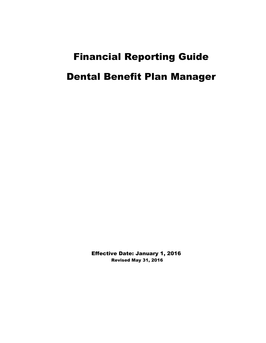# Financial Reporting Guide Dental Benefit Plan Manager

 Effective Date: January 1, 2016 Revised May 31, 2016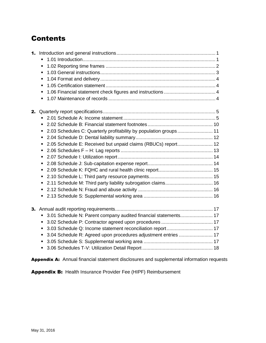## **Contents**

|    | П                                                                                 |  |
|----|-----------------------------------------------------------------------------------|--|
|    | $\blacksquare$                                                                    |  |
|    |                                                                                   |  |
|    | П                                                                                 |  |
|    | П                                                                                 |  |
|    |                                                                                   |  |
| 2. |                                                                                   |  |
|    | $\blacksquare$                                                                    |  |
|    | ٠                                                                                 |  |
|    | 2.03 Schedules C: Quarterly profitability by population groups  11<br>п           |  |
|    | П                                                                                 |  |
|    | 2.05 Schedule E: Received but unpaid claims (RBUCs) report 12<br>٠                |  |
|    | п                                                                                 |  |
|    | ٠                                                                                 |  |
|    | П                                                                                 |  |
|    | п                                                                                 |  |
|    | ٠                                                                                 |  |
|    | 2.11 Schedule M: Third party liability subrogation claims 16<br>п                 |  |
|    | $\blacksquare$                                                                    |  |
|    | ٠                                                                                 |  |
| 3. |                                                                                   |  |
|    | 3.01 Schedule N: Parent company audited financial statements 17<br>$\blacksquare$ |  |
|    |                                                                                   |  |
|    | $\blacksquare$                                                                    |  |
|    | 3.04 Schedule R: Agreed upon procedures adjustment entries  17<br>П               |  |
|    |                                                                                   |  |
|    | ■                                                                                 |  |

Appendix A: Annual financial statement disclosures and supplemental information requests

Appendix B: Health Insurance Provider Fee (HIPF) Reimbursement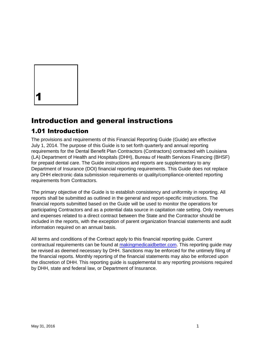

# Introduction and general instructions

#### 1.01 Introduction

The provisions and requirements of this Financial Reporting Guide (Guide) are effective July 1, 2014. The purpose of this Guide is to set forth quarterly and annual reporting requirements for the Dental Benefit Plan Contractors (Contractors) contracted with Louisiana (LA) Department of Health and Hospitals (DHH), Bureau of Health Services Financing (BHSF) for prepaid dental care. The Guide instructions and reports are supplementary to any Department of Insurance (DOI) financial reporting requirements. This Guide does not replace any DHH electronic data submission requirements or quality/compliance-oriented reporting requirements from Contractors.

The primary objective of the Guide is to establish consistency and uniformity in reporting. All reports shall be submitted as outlined in the general and report-specific instructions. The financial reports submitted based on the Guide will be used to monitor the operations for participating Contractors and as a potential data source in capitation rate setting. Only revenues and expenses related to a direct contract between the State and the Contractor should be included in the reports, with the exception of parent organization financial statements and audit information required on an annual basis.

All terms and conditions of the Contract apply to this financial reporting guide. Current contractual requirements can be found at makingmedicaidbetter.com. This reporting guide may be revised as deemed necessary by DHH. Sanctions may be enforced for the untimely filing of the financial reports. Monthly reporting of the financial statements may also be enforced upon the discretion of DHH. This reporting guide is supplemental to any reporting provisions required by DHH, state and federal law, or Department of Insurance.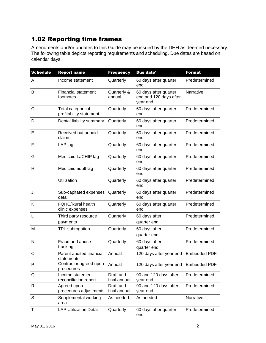## 1.02 Reporting time frames

Amendments and/or updates to this Guide may be issued by the DHH as deemed necessary. The following table depicts reporting requirements and scheduling. Due dates are based on calendar days.

| <b>Schedule</b> | <b>Report name</b>                           | <b>Frequency</b>          | Due date <sup>1</sup>                                       | <b>Format</b> |
|-----------------|----------------------------------------------|---------------------------|-------------------------------------------------------------|---------------|
| A               | Income statement                             | Quarterly                 | 60 days after quarter<br>end                                | Predetermined |
| B               | <b>Financial statement</b><br>footnotes      | Quarterly &<br>annual     | 60 days after quarter<br>end and 120 days after<br>year end | Narrative     |
| $\mathsf{C}$    | Total categorical<br>profitability statement | Quarterly                 | 60 days after quarter<br>end                                | Predetermined |
| D               | Dental liability summary                     | Quarterly                 | 60 days after quarter<br>end                                | Predetermined |
| Е               | Received but unpaid<br>claims                | Quarterly                 | 60 days after quarter<br>end                                | Predetermined |
| F               | LAP lag                                      | Quarterly                 | 60 days after quarter<br>end                                | Predetermined |
| G               | Medicaid LaCHIP lag                          | Quarterly                 | 60 days after quarter<br>end                                | Predetermined |
| Н               | Medicaid adult lag                           | Quarterly                 | 60 days after quarter<br>end                                | Predetermined |
| $\mathbf{I}$    | Utilization                                  | Quarterly                 | 60 days after quarter<br>end                                | Predetermined |
| J               | Sub-capitated expenses<br>detail             | Quarterly                 | 60 days after quarter<br>end                                | Predetermined |
| Κ               | <b>FQHC/Rural health</b><br>clinic expenses  | Quarterly                 | 60 days after quarter<br>end                                | Predetermined |
| L               | Third party resource<br>payments             | Quarterly                 | 60 days after<br>quarter end                                | Predetermined |
| M               | TPL subrogation                              | Quarterly                 | 60 days after<br>quarter end                                | Predetermined |
| N               | Fraud and abuse<br>tracking                  | Quarterly                 | 60 days after<br>quarter end                                | Predetermined |
| O               | Parent audited financial<br>statements       | Annual                    | 120 days after year end Embedded PDF                        |               |
| P               | Contractor agreed upon<br>procedures         | Annual                    | 120 days after year end Embedded PDF                        |               |
| Q               | Income statement<br>reconciliation report    | Draft and<br>final annual | 90 and 120 days after<br>year end                           | Predetermined |
| R               | Agreed upon<br>procedures adjustments        | Draft and<br>final annual | 90 and 120 days after<br>year end                           | Predetermined |
| S               | Supplemental working<br>area                 | As needed                 | As needed                                                   | Narrative     |
| T               | <b>LAP Utilization Detail</b>                | Quarterly                 | 60 days after quarter<br>end                                | Predetermined |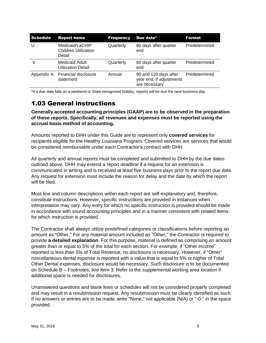| <b>Schedule</b> | <b>Report name</b>                                       | <b>Frequency</b> | Due date <sup>1</sup>                                              | <b>Format</b> |
|-----------------|----------------------------------------------------------|------------------|--------------------------------------------------------------------|---------------|
| U               | Medicaid/LaCHIP<br><b>Children Utilization</b><br>Detail | Quarterly        | 60 days after quarter<br>end                                       | Predetermined |
|                 | <b>Medicaid Adult</b><br><b>Utilization Detail</b>       | Quarterly        | 60 days after quarter<br>end                                       | Predetermined |
| Appendix A      | <b>Financial disclosure</b><br>statement                 | Annual           | 90 and 120 days after<br>year end, if adjustments<br>are necessary | Predetermined |

1 If a due date falls on a weekend or State-recognized holiday, reports will be due the next business day.

## 1.03 General instructions

**Generally accepted accounting principles (GAAP) are to be observed in the preparation of these reports. Specifically, all revenues and expenses must be reported using the accrual basis method of accounting.** 

Amounts reported to DHH under this Guide are to represent only **covered services** for recipients eligible for the Healthy Louisiana Program. Covered services are services that would be considered reimbursable under each Contractor's contract with DHH.

All quarterly and annual reports must be completed and submitted to DHH by the due dates outlined above. DHH may extend a report deadline if a request for an extension is communicated in writing and is received at least five business days prior to the report due date. Any request for extension must include the reason for delay and the date by which the report will be filed.

Most line and column descriptions within each report are self-explanatory and, therefore, constitute instructions. However, specific instructions are provided in instances when interpretation may vary. Any entry for which no specific instruction is provided should be made in accordance with sound accounting principles and in a manner consistent with related items for which instruction is provided.

The Contractor shall always utilize predefined categories or classifications before reporting an amount as "Other." For any material amount included as "Other," the Contractor is required to provide **a detailed explanation**. For this purpose, material is defined as comprising an amount greater than or equal to 5% of the total for each section. For example, if "Other Income" reported is less than 5% of Total Revenue, no disclosure is necessary. However, if "Other" miscellaneous dental expense is reported with a value that is equal to 5% or higher of Total Other Dental expenses, disclosure would be necessary. Such disclosure is to be documented on Schedule B – Footnotes, line item 3. Refer to the supplemental working area location if additional space is needed for disclosures.

Unanswered questions and blank lines or schedules will not be considered properly completed and may result in a resubmission request. Any resubmission must be clearly identified as such. If no answers or entries are to be made, write "None," not applicable (N/A) or "-0-" in the space provided.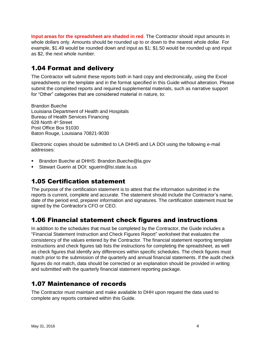**Input areas for the spreadsheet are shaded in red**. The Contractor should input amounts in whole dollars only. Amounts should be rounded up to or down to the nearest whole dollar. For example, \$1.49 would be rounded down and input as \$1; \$1.50 would be rounded up and input as \$2, the next whole number.

#### 1.04 Format and delivery

The Contractor will submit these reports both in hard copy and electronically, using the Excel spreadsheets on the template and in the format specified in this Guide without alteration. Please submit the completed reports and required supplemental materials, such as narrative support for "Other" categories that are considered material in nature, to:

Brandon Bueche Louisiana Department of Health and Hospitals Bureau of Health Services Financing 628 North 4th Street Post Office Box 91030 Baton Rouge, Louisiana 70821-9030

Electronic copies should be submitted to LA DHHS and LA DOI using the following e-mail addresses:

- **Brandon Bueche at DHHS: [Brandon.Bueche@la.gov](mailto:brandon.Bueche@la.gov)**
- Stewart Guerin at DOI: [sguerin@lsi.state.la.us](mailto:squerin@lsi.state.la.us)

#### 1.05 Certification statement

The purpose of the certification statement is to attest that the information submitted in the reports is current, complete and accurate. The statement should include the Contractor's name, date of the period end, preparer information and signatures. The certification statement must be signed by the Contractor's CFO or CEO.

#### 1.06 Financial statement check figures and instructions

In addition to the schedules that must be completed by the Contractor, the Guide includes a "Financial Statement Instruction and Check Figures Report" worksheet that evaluates the consistency of the values entered by the Contractor. The financial statement reporting template instructions and check figures tab lists the instructions for completing the spreadsheet, as well as check figures that identify any differences within specific schedules. The check figures must match prior to the submission of the quarterly and annual financial statements. If the audit check figures do not match, data should be corrected or an explanation should be provided in writing and submitted with the quarterly financial statement reporting package.

#### 1.07 Maintenance of records

The Contractor must maintain and make available to DHH upon request the data used to complete any reports contained within this Guide.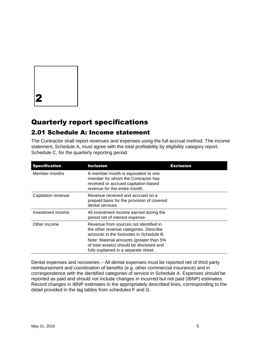2

## Quarterly report specifications

#### 2.01 Schedule A: Income statement

The Contractor shall report revenues and expenses using the full accrual method. The income statement, Schedule A, must agree with the total profitability by eligibility category report, Schedule C, for the quarterly reporting period.

| <b>Specification</b> | <b>Inclusion</b>                                                                                                                                                                                                                                           | <b>Exclusion</b> |
|----------------------|------------------------------------------------------------------------------------------------------------------------------------------------------------------------------------------------------------------------------------------------------------|------------------|
| Member months        | A member month is equivalent to one<br>member for whom the Contractor has<br>received or accrued capitation-based<br>revenue for the entire month.                                                                                                         |                  |
| Capitation revenue   | Revenue received and accrued on a<br>prepaid basis for the provision of covered<br>dental services.                                                                                                                                                        |                  |
| Investment income    | All investment income earned during the<br>period net of interest expense.                                                                                                                                                                                 |                  |
| Other income         | Revenue from sources not identified in<br>the other revenue categories. Describe<br>amounts in the footnotes in Schedule B.<br>Note: Material amounts (greater than 5%<br>of total assets) should be disclosed and<br>fully explained in a separate sheet. |                  |

Dental expenses and recoveries – All dental expenses must be reported net of third party reimbursement and coordination of benefits (e.g. other commercial insurance) and in correspondence with the identified categories of service in Schedule A. Expenses should be reported as paid and should not include changes in incurred but not paid (IBNP) estimates. Record changes in IBNP estimates in the appropriately described lines, corresponding to the detail provided in the lag tables from schedules F and G.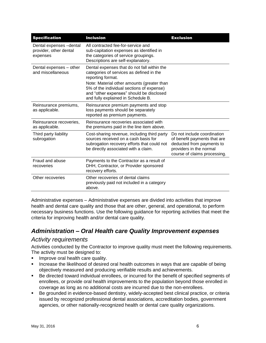| <b>Specification</b>                                          | <b>Inclusion</b>                                                                                                                                                           | <b>Exclusion</b>                                                                                                                                    |
|---------------------------------------------------------------|----------------------------------------------------------------------------------------------------------------------------------------------------------------------------|-----------------------------------------------------------------------------------------------------------------------------------------------------|
| Dental expenses -dental<br>provider, other dental<br>expenses | All contracted fee-for-service and<br>sub-capitation expenses as identified in<br>the categories of service groupings.<br>Descriptions are self-explanatory.               |                                                                                                                                                     |
| Dental expenses - other<br>and miscellaneous                  | Dental expenses that do not fall within the<br>categories of services as defined in the<br>reporting format.                                                               |                                                                                                                                                     |
|                                                               | Note: Material other amounts (greater than<br>5% of the individual sections of expense)<br>and "other expenses" should be disclosed<br>and fully explained in Schedule B.  |                                                                                                                                                     |
| Reinsurance premiums,<br>as applicable.                       | Reinsurance premium payments and stop<br>loss payments should be separately<br>reported as premium payments.                                                               |                                                                                                                                                     |
| Reinsurance recoveries,<br>as applicable.                     | Reinsurance recoveries associated with<br>the premiums paid in the line item above.                                                                                        |                                                                                                                                                     |
| Third party liability<br>subrogation                          | Cost-sharing revenue, including third party<br>sources received on a cash basis for<br>subrogation recovery efforts that could not<br>be directly associated with a claim. | Do not include coordination<br>of benefit payments that are<br>deducted from payments to<br>providers in the normal<br>course of claims processing. |
| Fraud and abuse<br>recoveries                                 | Payments to the Contractor as a result of<br>DHH, Contractor, or Provider sponsored<br>recovery efforts.                                                                   |                                                                                                                                                     |
| Other recoveries                                              | Other recoveries of dental claims<br>previously paid not included in a category<br>above.                                                                                  |                                                                                                                                                     |

Administrative expenses – Administrative expenses are divided into activities that improve health and dental care quality and those that are other, general, and operational, to perform necessary business functions. Use the following guidance for reporting activities that meet the criteria for improving health and/or dental care quality.

#### *Administration – Oral Health care Quality Improvement expenses*

#### *Activity requirements*

Activities conducted by the Contractor to improve quality must meet the following requirements. The activity must be designed to:

- **IMPROPED ORBIGE 1999** Improve oral health care quality.
- **Increase the likelihood of desired oral health outcomes in ways that are capable of being** objectively measured and producing verifiable results and achievements.
- **Be directed toward individual enrollees, or incurred for the benefit of specified segments of** enrollees, or provide oral health improvements to the population beyond those enrolled in coverage as long as no additional costs are incurred due to the non-enrollees.
- Be grounded in evidence-based dentistry, widely-accepted best clinical practice, or criteria issued by recognized professional dental associations, accreditation bodies, government agencies, or other nationally-recognized health or dental care quality organizations.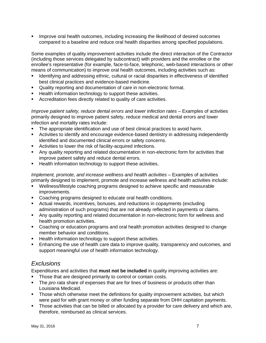**IMPROVE ORTH ON DEALTH INCOMES, including increasing the likelihood of desired outcomes** compared to a baseline and reduce oral health disparities among specified populations.

Some examples of quality improvement activities include the direct interaction of the Contractor (including those services delegated by subcontract) with providers and the enrollee or the enrollee's representative (for example, face-to-face, telephonic, web-based interactions or other means of communication) to improve oral health outcomes, including activities such as:

- Identifying and addressing ethnic, cultural or racial disparities in effectiveness of identified best clinical practices and evidence-based medicine.
- Quality reporting and documentation of care in non-electronic format.
- **Health information technology to support these activities.**
- Accreditation fees directly related to quality of care activities.

*Improve patient safety, reduce dental errors and lower infection rates –* Examples of activities primarily designed to improve patient safety, reduce medical and dental errors and lower infection and mortality rates include:

- The appropriate identification and use of best clinical practices to avoid harm.
- Activities to identify and encourage evidence-based dentistry in addressing independently identified and documented clinical errors or safety concerns.
- Activities to lower the risk of facility-acquired infections.
- Any quality reporting and related documentation in non-electronic form for activities that improve patient safety and reduce dental errors.
- Health information technology to support these activities.

*Implement, promote, and increase wellness and health activities –* Examples of activities primarily designed to implement, promote and increase wellness and health activities include:

- Wellness/lifestyle coaching programs designed to achieve specific and measurable improvements.
- **Coaching programs designed to educate oral health conditions.**
- Actual rewards, incentives, bonuses, and reductions in copayments (excluding administration of such programs) that are not already reflected in payments or claims.
- Any quality reporting and related documentation in non-electronic form for wellness and health promotion activities.
- Coaching or education programs and oral health promotion activities designed to change member behavior and conditions.
- **Health information technology to support these activities.**
- Enhancing the use of health care data to improve quality, transparency and outcomes, and support meaningful use of health information technology.

#### *Exclusions*

Expenditures and activities that **must not be included** in quality improving activities are:

- Those that are designed primarily to control or contain costs.
- The *pro rata* share of expenses that are for lines of business or products other than Louisiana Medicaid.
- Those which otherwise meet the definitions for quality improvement activities, but which were paid for with grant money or other funding separate from DHH capitation payments.
- Those activities that can be billed or allocated by a provider for care delivery and which are, therefore, reimbursed as clinical services.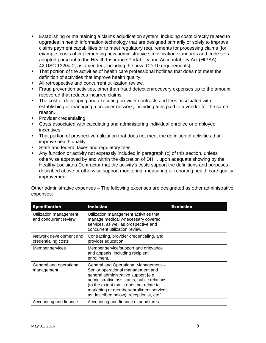- Establishing or maintaining a claims adjudication system, including costs directly related to upgrades in health information technology that are designed primarily or solely to improve claims payment capabilities or to meet regulatory requirements for processing claims [for example, costs of implementing new administrative simplification standards and code sets adopted pursuant to the Health Insurance Portability and Accountability Act (HIPAA), 42 USC 1320d-2, as amended, including the new ICD-10 requirements].
- That portion of the activities of health care professional hotlines that does not meet the definition of activities that improve health quality.
- All retrospective and concurrent utilization review.
- **Fraud prevention activities, other than fraud detection/recovery expenses up to the amount** recovered that reduces incurred claims.
- The cost of developing and executing provider contracts and fees associated with establishing or managing a provider network, including fees paid to a vendor for the same reason.
- **Provider credentialing.**
- Costs associated with calculating and administering individual enrollee or employee incentives.
- **That portion of prospective utilization that does not meet the definition of activities that** improve health quality.
- State and federal taxes and regulatory fees.
- Any function or activity not expressly included in paragraph (c) of this section, unless otherwise approved by and within the discretion of DHH, upon adequate showing by the Healthy Louisiana Contractor that the activity's costs support the definitions and purposes described above or otherwise support monitoring, measuring or reporting health care quality improvement.

Other administrative expenses – The following expenses are designated as other administrative expenses:

| <b>Specification</b>                            | <b>Inclusion</b>                                                                                                                                                                                                                                                                                       | <b>Exclusion</b> |
|-------------------------------------------------|--------------------------------------------------------------------------------------------------------------------------------------------------------------------------------------------------------------------------------------------------------------------------------------------------------|------------------|
| Utilization management<br>and concurrent review | Utilization management activities that<br>manage medically-necessary covered<br>services, as well as prospective and<br>concurrent utilization review.                                                                                                                                                 |                  |
| Network development and<br>credentialing costs  | Contracting, provider credentialing, and<br>provider education.                                                                                                                                                                                                                                        |                  |
| Member services                                 | Member service/support and grievance<br>and appeals, including recipient<br>enrollment.                                                                                                                                                                                                                |                  |
| General and operational<br>management           | General and Operational Management -<br>Senior operational management and<br>general administrative support [e.g.,<br>administrative assistants, public relations<br>(to the extent that it does not relate to<br>marketing or member/enrollment services<br>as described below), receptionist, etc.]. |                  |
| Accounting and finance                          | Accounting and finance expenditures.                                                                                                                                                                                                                                                                   |                  |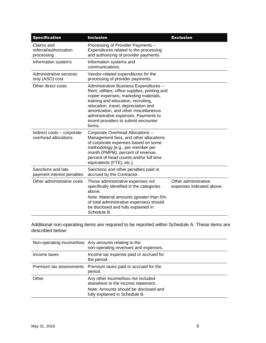| <b>Specification</b>                               | <b>Inclusion</b>                                                                                                                                                                                                                                                                                                                                    | <b>Exclusion</b>                                  |
|----------------------------------------------------|-----------------------------------------------------------------------------------------------------------------------------------------------------------------------------------------------------------------------------------------------------------------------------------------------------------------------------------------------------|---------------------------------------------------|
| Claims and<br>referral/authorization<br>processing | Processing of Provider Payments -<br>Expenditures related to the processing<br>and authorizing of provider payments.                                                                                                                                                                                                                                |                                                   |
| Information systems                                | Information systems and<br>communications.                                                                                                                                                                                                                                                                                                          |                                                   |
| Administrative services<br>only (ASO) cost         | Vendor-related expenditures for the<br>processing of provider payments.                                                                                                                                                                                                                                                                             |                                                   |
| Other direct costs                                 | Administrative Business Expenditures -<br>Rent, utilities, office supplies, printing and<br>copier expenses, marketing materials,<br>training and education, recruiting,<br>relocation, travel, depreciation and<br>amortization, and other miscellaneous<br>administrative expenses. Payments to<br>incent providers to submit encounter<br>forms. |                                                   |
| Indirect costs - corporate<br>overhead allocations | Corporate Overhead Allocations -<br>Management fees, and other allocations<br>of corporate expenses based on some<br>methodology [e.g., per member per<br>month (PMPM), percent of revenue,<br>percent of head counts and/or full time<br>equivalents (FTE), etc.].                                                                                 |                                                   |
| Sanctions and late<br>payment interest penalties   | Sanctions and other penalties paid or<br>accrued by the Contractor.                                                                                                                                                                                                                                                                                 |                                                   |
| Other administrative costs                         | Those administrative expenses not<br>specifically identified in the categories<br>above.<br>Note: Material amounts (greater than 5%<br>of total administrative expenses) should<br>be disclosed and fully explained in<br>Schedule B.                                                                                                               | Other administrative<br>expenses indicated above. |

Additional non-operating items are required to be reported within Schedule A. These items are described below:

|                         | Non-operating income/loss Any amounts relating to the<br>non-operating revenues and expenses. |
|-------------------------|-----------------------------------------------------------------------------------------------|
| Income taxes            | Income tax expense paid or accrued for<br>the period.                                         |
| Premium tax assessments | Premium taxes paid or accrued for the<br>period.                                              |
| Other                   | Any other income/loss not included<br>elsewhere in the income statement                       |
|                         | Note: Amounts should be disclosed and<br>fully explained in Schedule B.                       |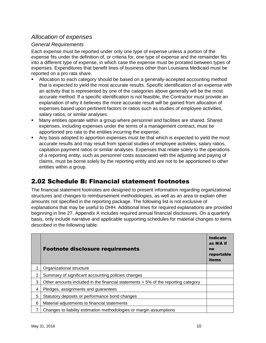#### *Allocation of expenses*

#### *General Requirements*

Each expense must be reported under only one type of expense unless a portion of the expense fits under the definition of, or criteria for, one type of expense and the remainder fits into a different type of expense, in which case the expense must be prorated between types of expenses. Expenditures that benefit lines of business other than Louisiana Medicaid must be reported on a pro rata share.

- Allocation to each category should be based on a generally-accepted accounting method that is expected to yield the most accurate results. Specific identification of an expense with an activity that is represented by one of the categories above generally will be the most accurate method. If a specific identification is not feasible, the Contractor must provide an explanation of why it believes the more accurate result will be gained from allocation of expenses based upon pertinent factors or ratios such as studies of employee activities, salary ratios, or similar analyses.
- Many entities operate within a group where personnel and facilities are shared. Shared expenses, including expenses under the terms of a management contract, must be apportioned pro rata to the entities incurring the expense.
- Any basis adopted to apportion expenses must be that which is expected to yield the most accurate results and may result from special studies of employee activities, salary ratios, capitation payment ratios or similar analyses. Expenses that relate solely to the operations of a reporting entity, such as personnel costs associated with the adjusting and paying of claims, must be borne solely by the reporting entity and are not to be apportioned to other entities within a group.

## 2.02 Schedule B: Financial statement footnotes

The financial statement footnotes are designed to present information regarding organizational structures and changes to reimbursement methodologies, as well as an area to explain other amounts not specified in the reporting package. The following list is not exclusive of explanations that may be useful to DHH. Additional lines for required explanations are provided beginning in line 27. Appendix A includes required annual financial disclosures. On a quarterly basis, only include narrative and applicable supporting schedules for material changes to items described in the following table:

|   | <b>Footnote disclosure requirements</b>                                           | <b>Indicate</b><br>as N/A if<br>no<br>reportable<br>items |
|---|-----------------------------------------------------------------------------------|-----------------------------------------------------------|
|   | Organizational structure                                                          |                                                           |
| 2 | Summary of significant accounting policies changes                                |                                                           |
| 3 | Other amounts included in the financial statements > 5% of the reporting category |                                                           |
| 4 | Pledges, assignments and guarantees                                               |                                                           |
| 5 | Statutory deposits or performance bond changes                                    |                                                           |
| 6 | Material adjustments to financial statements                                      |                                                           |
|   | Changes to liability estimation methodologies or margin assumptions               |                                                           |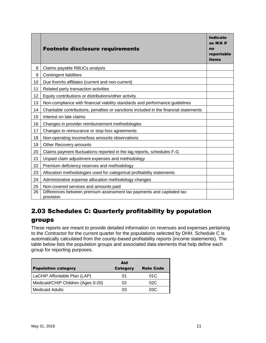|    | <b>Footnote disclosure requirements</b>                                               | <b>Indicate</b><br>$as N/A$ if<br>no<br>reportable<br><b>items</b> |
|----|---------------------------------------------------------------------------------------|--------------------------------------------------------------------|
| 8  | Claims payable RBUCs analysis                                                         |                                                                    |
| 9  | <b>Contingent liabilities</b>                                                         |                                                                    |
| 10 | Due from/to affiliates (current and non-current)                                      |                                                                    |
| 11 | Related party transaction activities                                                  |                                                                    |
| 12 | Equity contributions or distributions/other activity                                  |                                                                    |
| 13 | Non-compliance with financial viability standards and performance guidelines          |                                                                    |
| 14 | Charitable contributions, penalties or sanctions included in the financial statements |                                                                    |
| 15 | Interest on late claims                                                               |                                                                    |
| 16 | Changes in provider reimbursement methodologies                                       |                                                                    |
| 17 | Changes to reinsurance or stop loss agreements                                        |                                                                    |
| 18 | Non-operating income/loss amounts observations                                        |                                                                    |
| 19 | Other Recovery amounts                                                                |                                                                    |
| 20 | Claims payment fluctuations reported in the lag reports, schedules F-G                |                                                                    |
| 21 | Unpaid claim adjustment expenses and methodology                                      |                                                                    |
| 22 | Premium deficiency reserves and methodology                                           |                                                                    |
| 23 | Allocation methodologies used for categorical profitability statements                |                                                                    |
| 24 | Administrative expense allocation methodology changes                                 |                                                                    |
| 25 | Non-covered services and amounts paid                                                 |                                                                    |
| 26 | Differences between premium assessment tax payments and capitated tax<br>provision    |                                                                    |

## 2.03 Schedules C: Quarterly profitability by population

#### groups

These reports are meant to provide detailed information on revenues and expenses pertaining to the Contractor for the current quarter for the populations selected by DHH. Schedule C is automatically calculated from the county-based profitability reports (income statements). The table below lists the population groups and associated data elements that help define each group for reporting purposes.

|                                    | Aid             |                  |
|------------------------------------|-----------------|------------------|
| <b>Population category</b>         | <b>Category</b> | <b>Rate Code</b> |
| LaCHIP Affordable Plan (LAP)       | 01              | 01C              |
| Medicaid/CHIP Children (Ages 0-20) | 02              | 02C              |
| <b>Medicaid Adults</b>             | 03              | 03C              |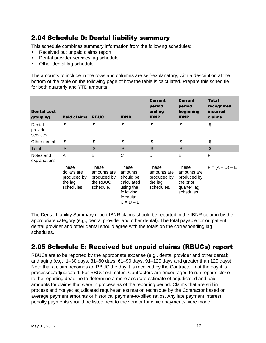## 2.04 Schedule D: Dental liability summary

This schedule combines summary information from the following schedules:

- Received but unpaid claims report.
- Dental provider services lag schedule.
- Other dental lag schedule.

The amounts to include in the rows and columns are self-explanatory, with a description at the bottom of the table on the following page of how the table is calculated. Prepare this schedule for both quarterly and YTD amounts.

| <b>Dental cost</b><br>grouping | <b>Paid claims</b>                                           | <b>RBUC</b>                                                         | <b>IBNR</b>                                                                                      | <b>Current</b><br>period<br>ending<br><b>IBNP</b>            | <b>Current</b><br>period<br>beginning<br><b>IBNP</b>                          | <b>Total</b><br>recognized<br>incurred<br>claims |
|--------------------------------|--------------------------------------------------------------|---------------------------------------------------------------------|--------------------------------------------------------------------------------------------------|--------------------------------------------------------------|-------------------------------------------------------------------------------|--------------------------------------------------|
| Dental<br>provider<br>services | $$ -$                                                        | $$ -$                                                               | $$ -$                                                                                            | $\frac{1}{2}$                                                | $\mathsf{\$}$ -                                                               | $$ -$                                            |
| Other dental                   | $\mathsf{\$}$ -                                              | $$ -$                                                               | $$ -$                                                                                            | $$ -$                                                        | $$ -$                                                                         | $$ -$                                            |
| Total                          | $\frac{1}{2}$                                                | $$ -$                                                               | $$ -$                                                                                            | $\frac{1}{2}$                                                | $\mathcal{S}$ -                                                               | $\frac{1}{2}$                                    |
| Notes and<br>explanations:     | A                                                            | B                                                                   | C                                                                                                | D                                                            | E                                                                             | F                                                |
|                                | These<br>dollars are<br>produced by<br>the lag<br>schedules. | <b>These</b><br>amounts are<br>produced by<br>the RBUC<br>schedule. | These<br>amounts<br>should be<br>calculated<br>using the<br>following<br>formula:<br>$C = D - B$ | These<br>amounts are<br>produced by<br>the lag<br>schedules. | These<br>amounts are<br>produced by<br>the prior<br>quarter lag<br>schedules. | $F = (A + D) - E$                                |

The Dental Liability Summary report IBNR claims should be reported in the IBNR column by the appropriate category (e.g., dental provider and other dental). The total payable for outpatient, dental provider and other dental should agree with the totals on the corresponding lag schedules.

#### 2.05 Schedule E: Received but unpaid claims (RBUCs) report

RBUCs are to be reported by the appropriate expense (e.g., dental provider and other dental) and aging (e.g., 1–30 days, 31–60 days, 61–90 days, 91–120 days and greater than 120 days). Note that a claim becomes an RBUC the day it is received by the Contractor, not the day it is processed/adjudicated. For RBUC estimates, Contractors are encouraged to run reports close to the reporting deadline to determine a more accurate estimate of adjudicated and paid amounts for claims that were in process as of the reporting period. Claims that are still in process and not yet adjudicated require an estimation technique by the Contractor based on average payment amounts or historical payment-to-billed ratios. Any late payment interest penalty payments should be listed next to the vendor for which payments were made.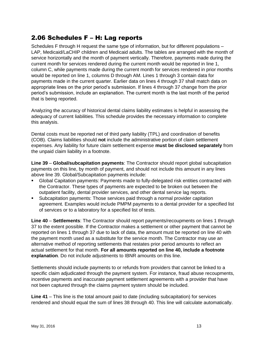#### 2.06 Schedules F – H: Lag reports

Schedules F through H request the same type of information, but for different populations – LAP, Medicaid/LaCHIP children and Medicaid adults. The tables are arranged with the month of service horizontally and the month of payment vertically. Therefore, payments made during the current month for services rendered during the current month would be reported in line 1, column C, while payments made during the current month for services rendered in prior months would be reported on line 1, columns D through AM. Lines 1 through 3 contain data for payments made in the current quarter. Earlier data on lines 4 through 37 shall match data on appropriate lines on the prior period's submission. If lines 4 through 37 change from the prior period's submission, include an explanation. The current month is the last month of the period that is being reported.

Analyzing the accuracy of historical dental claims liability estimates is helpful in assessing the adequacy of current liabilities. This schedule provides the necessary information to complete this analysis.

Dental costs must be reported net of third party liability (TPL) and coordination of benefits (COB). Claims liabilities should **not** include the administrative portion of claim settlement expenses. Any liability for future claim settlement expense **must be disclosed separately** from the unpaid claim liability in a footnote.

**Line 39** – **Global/subcapitation payments**: The Contractor should report global subcapitation payments on this line, by month of payment, and should not include this amount in any lines above line 39. Global/Subcapitation payments include:

- Global Capitation payments: Payments made to fully-delegated risk entities contracted with the Contractor. These types of payments are expected to be broken out between the outpatient facility, dental provider services, and other dental service lag reports.
- Subcapitation payments: Those services paid through a normal provider capitation agreement. Examples would include PMPM payments to a dental provider for a specified list of services or to a laboratory for a specified list of tests.

**Line 40** – **Settlements**: The Contractor should report payments/recoupments on lines 1 through 37 to the extent possible. If the Contractor makes a settlement or other payment that cannot be reported on lines 1 through 37 due to lack of data, the amount must be reported on line 40 with the payment month used as a substitute for the service month. The Contractor may use an alternative method of reporting settlements that restates prior period amounts to reflect an actual settlement for that month. **For all amounts reported on line 40, include a footnote explanation**. Do not include adjustments to IBNR amounts on this line.

Settlements should include payments to or refunds from providers that cannot be linked to a specific claim adjudicated through the payment system. For instance, fraud abuse recoupments, incentive payments and inaccurate payment settlement agreements with a provider that have not been captured through the claims payment system should be included.

**Line 41** – This line is the total amount paid to date (including subcapitation) for services rendered and should equal the sum of lines 38 through 40. This line will calculate automatically.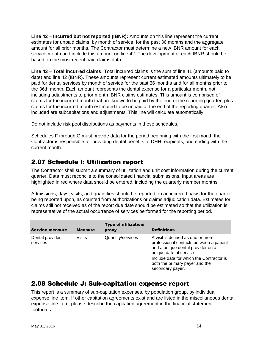**Line 42** – **Incurred but not reported (IBNR):** Amounts on this line represent the current estimates for unpaid claims, by month of service, for the past 36 months and the aggregate amount for all prior months. The Contractor must determine a new IBNR amount for each service month and include this amount on line 42. The development of each IBNR should be based on the most recent paid claims data.

**Line 43** – **Total incurred claims:** Total incurred claims is the sum of line 41 (amounts paid to date) and line 42 (IBNR). These amounts represent current estimated amounts ultimately to be paid for dental services by month of service for the past 36 months and for all months prior to the 36th month. Each amount represents the dental expense for a particular month, not including adjustments to prior month IBNR claims estimates. This amount is comprised of claims for the incurred month that are known to be paid by the end of the reporting quarter, plus claims for the incurred month estimated to be unpaid at the end of the reporting quarter. Also included are subcapitations and adjustments. This line will calculate automatically.

Do not include risk pool distributions as payments in these schedules.

Schedules F through G must provide data for the period beginning with the first month the Contractor is responsible for providing dental benefits to DHH recipients, and ending with the current month.

#### 2.07 Schedule I: Utilization report

The Contractor shall submit a summary of utilization and unit cost information during the current quarter. Data must reconcile to the consolidated financial submissions. Input areas are highlighted in red where data should be entered, including the quarterly member months.

Admissions, days, visits, and quantities should be reported on an incurred basis for the quarter being reported upon, as counted from authorizations or claims adjudication data. Estimates for claims still not received as of the report due date should be estimated so that the utilization is representative of the actual occurrence of services performed for the reporting period.

| <b>Service measure</b>      | <b>Measure</b> | <b>Type of utilization/</b><br>proxy | <b>Definitions</b>                                                                                                                           |
|-----------------------------|----------------|--------------------------------------|----------------------------------------------------------------------------------------------------------------------------------------------|
| Dental provider<br>services | <b>Visits</b>  | Quantity/services                    | A visit is defined as one or more<br>professional contacts between a patient<br>and a unique dental provider on a<br>unique date of service. |
|                             |                |                                      | Include data for which the Contractor is<br>both the primary payer and the<br>secondary payer.                                               |

#### 2.08 Schedule J: Sub-capitation expense report

This report is a summary of sub-capitation expenses, by population group, by individual expense line item. If other capitation agreements exist and are listed in the miscellaneous dental expense line item, please describe the capitation agreement in the financial statement footnotes.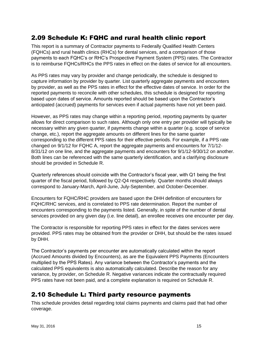#### 2.09 Schedule K: FQHC and rural health clinic report

This report is a summary of Contractor payments to Federally Qualified Health Centers (FQHCs) and rural health clinics (RHCs) for dental services, and a comparison of those payments to each FQHC's or RHC's Prospective Payment System (PPS) rates. The Contractor is to reimburse FQHCs/RHCs the PPS rates in effect on the dates of service for all encounters.

As PPS rates may vary by provider and change periodically, the schedule is designed to capture information by provider by quarter. List quarterly aggregate payments and encounters by provider, as well as the PPS rates in effect for the effective dates of service. In order for the reported payments to reconcile with other schedules, this schedule is designed for reporting based upon dates of service. Amounts reported should be based upon the Contractor's anticipated (accrued) payments for services even if actual payments have not yet been paid.

However, as PPS rates may change within a reporting period, reporting payments by quarter allows for direct comparison to such rates. Although only one entry per provider will typically be necessary within any given quarter, if payments change within a quarter (e.g. scope of service change, etc.), report the aggregate amounts on different lines for the same quarter corresponding to the different PPS rates for their effective periods. For example, if a PPS rate changed on 9/1/12 for FQHC A, report the aggregate payments and encounters for 7/1/12- 8/31/12 on one line, and the aggregate payments and encounters for  $9/1/12-9/30/12$  on another. Both lines can be referenced with the same quarterly identification, and a clarifying disclosure should be provided in Schedule R.

Quarterly references should coincide with the Contractor's fiscal year, with Q1 being the first quarter of the fiscal period, followed by Q2-Q4 respectively. Quarter months should always correspond to January-March, April-June, July-September, and October-December.

Encounters for FQHC/RHC providers are based upon the DHH definition of encounters for FQHC/RHC services, and is correlated to PPS rate determination. Report the number of encounters corresponding to the payments listed. Generally, in spite of the number of dental services provided on any given day (i.e. line detail), an enrollee receives one encounter per day.

The Contractor is responsible for reporting PPS rates in effect for the dates services were provided. PPS rates may be obtained from the provider or DHH, but should be the rates issued by DHH.

The Contractor's payments per encounter are automatically calculated within the report (Accrued Amounts divided by Encounters), as are the Equivalent PPS Payments (Encounters multiplied by the PPS Rates). Any variance between the Contractor's payments and the calculated PPS equivalents is also automatically calculated. Describe the reason for any variance, by provider, on Schedule R. Negative variances indicate the contractually required PPS rates have not been paid, and a complete explanation is required on Schedule R.

#### 2.10 Schedule L: Third party resource payments

This schedule provides detail regarding total claims payments and claims paid that had other coverage.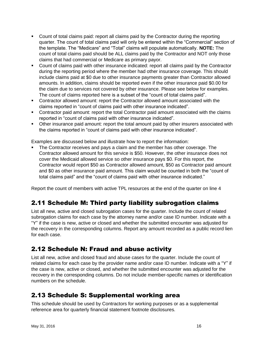- Count of total claims paid: report all claims paid by the Contractor during the reporting quarter. The count of total claims paid will only be entered within the "Commercial" section of the template. The "Medicare" and "Total" claims will populate automatically. **NOTE:** The count of total claims paid should be ALL claims paid by the Contractor and NOT only those claims that had commercial or Medicare as primary payor.
- Count of claims paid with other insurance indicated: report all claims paid by the Contractor during the reporting period where the member had other insurance coverage. This should include claims paid at \$0 due to other insurance payments greater than Contractor allowed amounts. In addition, claims should be reported even if the other insurance paid \$0.00 for the claim due to services not covered by other insurance. Please see below for examples. The count of claims reported here is a subset of the "count of total claims paid".
- Contractor allowed amount: report the Contractor allowed amount associated with the claims reported in "count of claims paid with other insurance indicated".
- Contractor paid amount: report the total Contractor paid amount associated with the claims reported in "count of claims paid with other insurance indicated".
- Other insurance paid amount: report the total amount paid by other insurers associated with the claims reported in "count of claims paid with other insurance indicated".

Examples are discussed below and illustrate how to report the information:

 The Contractor receives and pays a claim and the member has other coverage. The Contractor allowed amount for this service is \$50. However, the other insurance does not cover the Medicaid allowed service so other insurance pays \$0. For this report, the Contractor would report \$50 as Contractor allowed amount, \$50 as Contractor paid amount and \$0 as other insurance paid amount. This claim would be counted in both the "count of total claims paid" and the "count of claims paid with other insurance indicated."

Report the count of members with active TPL resources at the end of the quarter on line 4

## 2.11 Schedule M: Third party liability subrogation claims

List all new, active and closed subrogation cases for the quarter. Include the count of related subrogation claims for each case by the attorney name and/or case ID number. Indicate with a "Y" if the case is new, active or closed and whether the submitted encounter was adjusted for the recovery in the corresponding columns. Report any amount recorded as a public record lien for each case.

#### 2.12 Schedule N: Fraud and abuse activity

List all new, active and closed fraud and abuse cases for the quarter. Include the count of related claims for each case by the provider name and/or case ID number. Indicate with a "Y" if the case is new, active or closed, and whether the submitted encounter was adjusted for the recovery in the corresponding columns. Do not include member-specific names or identification numbers on the schedule.

#### 2.13 Schedule S: Supplemental working area

This schedule should be used by Contractors for working purposes or as a supplemental reference area for quarterly financial statement footnote disclosures.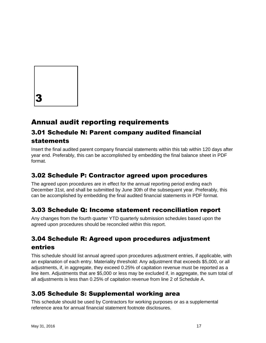

# Annual audit reporting requirements

## 3.01 Schedule N: Parent company audited financial statements

Insert the final audited parent company financial statements within this tab within 120 days after year end. Preferably, this can be accomplished by embedding the final balance sheet in PDF format.

## 3.02 Schedule P: Contractor agreed upon procedures

The agreed upon procedures are in effect for the annual reporting period ending each December 31st, and shall be submitted by June 30th of the subsequent year. Preferably, this can be accomplished by embedding the final audited financial statements in PDF format.

## 3.03 Schedule Q: Income statement reconciliation report

Any changes from the fourth quarter YTD quarterly submission schedules based upon the agreed upon procedures should be reconciled within this report.

## 3.04 Schedule R: Agreed upon procedures adjustment entries

This schedule should list annual agreed upon procedures adjustment entries, if applicable, with an explanation of each entry. Materiality threshold: Any adjustment that exceeds \$5,000, or all adjustments, if, in aggregate, they exceed 0.25% of capitation revenue must be reported as a line item. Adjustments that are \$5,000 or less may be excluded if, in aggregate, the sum total of all adjustments is less than 0.25% of capitation revenue from line 2 of Schedule A.

## 3.05 Schedule S: Supplemental working area

This schedule should be used by Contractors for working purposes or as a supplemental reference area for annual financial statement footnote disclosures.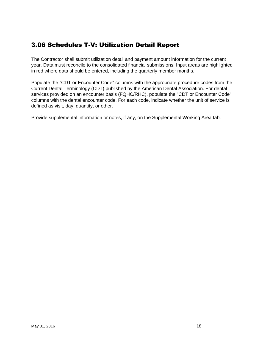## 3.06 Schedules T-V: Utilization Detail Report

The Contractor shall submit utilization detail and payment amount information for the current year. Data must reconcile to the consolidated financial submissions. Input areas are highlighted in red where data should be entered, including the quarterly member months.

Populate the "CDT or Encounter Code" columns with the appropriate procedure codes from the Current Dental Terminology (CDT) published by the American Dental Association. For dental services provided on an encounter basis (FQHC/RHC), populate the "CDT or Encounter Code" columns with the dental encounter code. For each code, indicate whether the unit of service is defined as visit, day, quantity, or other.

Provide supplemental information or notes, if any, on the Supplemental Working Area tab.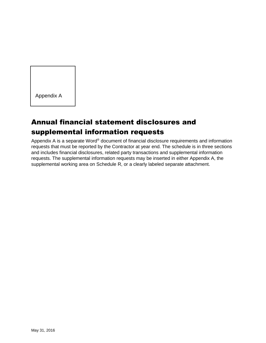Appendix A

# Annual financial statement disclosures and supplemental information requests

Appendix A is a separate Word® document of financial disclosure requirements and information requests that must be reported by the Contractor at year end. The schedule is in three sections and includes financial disclosures, related party transactions and supplemental information requests. The supplemental information requests may be inserted in either Appendix A, the supplemental working area on Schedule R, or a clearly labeled separate attachment.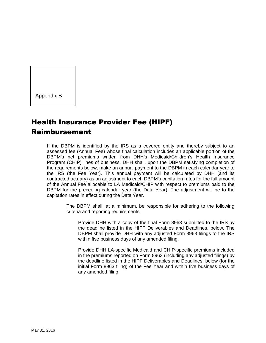Appendix B

# Health Insurance Provider Fee (HIPF) Reimbursement

If the DBPM is identified by the IRS as a covered entity and thereby subject to an assessed fee (Annual Fee) whose final calculation includes an applicable portion of the DBPM's net premiums written from DHH's Medicaid/Children's Health Insurance Program (CHIP) lines of business, DHH shall, upon the DBPM satisfying completion of the requirements below, make an annual payment to the DBPM in each calendar year to the IRS (the Fee Year). This annual payment will be calculated by DHH (and its contracted actuary) as an adjustment to each DBPM's capitation rates for the full amount of the Annual Fee allocable to LA Medicaid/CHIP with respect to premiums paid to the DBPM for the preceding calendar year (the Data Year). The adjustment will be to the capitation rates in effect during the Data Year.

> The DBPM shall, at a minimum, be responsible for adhering to the following criteria and reporting requirements:

Provide DHH with a copy of the final Form 8963 submitted to the IRS by the deadline listed in the HIPF Deliverables and Deadlines, below. The DBPM shall provide DHH with any adjusted Form 8963 filings to the IRS within five business days of any amended filing.

Provide DHH LA-specific Medicaid and CHIP-specific premiums included in the premiums reported on Form 8963 (including any adjusted filings) by the deadline listed in the HIPF Deliverables and Deadlines, below (for the initial Form 8963 filing) of the Fee Year and within five business days of any amended filing.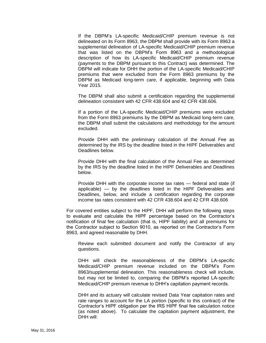If the DBPM's LA-specific Medicaid/CHIP premium revenue is not delineated on its Form 8963, the DBPM shall provide with its Form 8963 a supplemental delineation of LA-specific Medicaid/CHIP premium revenue that was listed on the DBPM's Form 8963 and a methodological description of how its LA-specific Medicaid/CHIP premium revenue (payments to the DBPM pursuant to this Contract) was determined. The DBPM will indicate for DHH the portion of the LA-specific Medicaid/CHIP premiums that were excluded from the Form 8963 premiums by the DBPM as Medicaid long-term care, if applicable, beginning with Data Year 2015.

The DBPM shall also submit a certification regarding the supplemental delineation consistent with 42 CFR 438.604 and 42 CFR 438.606.

If a portion of the LA-specific Medicaid/CHIP premiums were excluded from the Form 8963 premiums by the DBPM as Medicaid long-term care, the DBPM shall submit the calculations and methodology for the amount excluded.

Provide DHH with the preliminary calculation of the Annual Fee as determined by the IRS by the deadline listed in the HIPF Deliverables and Deadlines below.

Provide DHH with the final calculation of the Annual Fee as determined by the IRS by the deadline listed in the HIPF Deliverables and Deadlines below.

Provide DHH with the corporate income tax rates — federal and state (if applicable) — by the deadlines listed in the HIPF Deliverables and Deadlines, below, and include a certification regarding the corporate income tax rates consistent with 42 CFR 438.604 and 42 CFR 438.606

For covered entities subject to the HIPF, DHH will perform the following steps to evaluate and calculate the HIPF percentage based on the Contractor's notification of final fee calculation (that is, HIPF liability) and all premiums for the Contractor subject to Section 9010, as reported on the Contractor's Form 8963, and agreed reasonable by DHH.

Review each submitted document and notify the Contractor of any questions.

DHH will check the reasonableness of the DBPM's LA-specific Medicaid/CHIP premium revenue included on the DBPM's Form 8963/supplemental delineation. This reasonableness check will include, but may not be limited to, comparing the DBPM's reported LA-specific Medicaid/CHIP premium revenue to DHH's capitation payment records.

DHH and its actuary will calculate revised Data Year capitation rates and rate ranges to account for the LA portion (specific to this contract) of the Contractor's HIPF obligation per the IRS HIPF final fee calculation notice (as noted above). To calculate the capitation payment adjustment, the DHH will: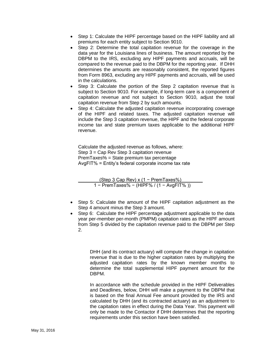- Step 1: Calculate the HIPF percentage based on the HIPF liability and all premiums for each entity subject to Section 9010.
- Step 2: Determine the total capitation revenue for the coverage in the data year for the Louisiana lines of business. The amount reported by the DBPM to the IRS, excluding any HIPF payments and accruals, will be compared to the revenue paid to the DBPM for the reporting year. If DHH determines the amounts are reasonably consistent, the reported figures from Form 8963, excluding any HIPF payments and accruals, will be used in the calculations.
- Step 3: Calculate the portion of the Step 2 capitation revenue that is subject to Section 9010. For example, if long-term care is a component of capitation revenue and not subject to Section 9010, adjust the total capitation revenue from Step 2 by such amounts.
- Step 4: Calculate the adjusted capitation revenue incorporating coverage of the HIPF and related taxes. The adjusted capitation revenue will include the Step 3 capitation revenue, the HIPF and the federal corporate income tax and state premium taxes applicable to the additional HIPF revenue.

Calculate the adjusted revenue as follows, where: Step 3 = Cap Rev Step 3 capitation revenue PremTaxes% = State premium tax percentage AvgFIT% = Entity's federal corporate income tax rate

| (Step 3 Cap Rev) $x(1 - PremTaxes%)$                 |  |
|------------------------------------------------------|--|
| 1 - PremTaxes% - (HIPF% / $(1 - \text{AvgFIT% } )$ ) |  |

- Step 5: Calculate the amount of the HIPF capitation adjustment as the Step 4 amount minus the Step 3 amount.
- Step 6: Calculate the HIPF percentage adjustment applicable to the data year per-member per-month (PMPM) capitation rates as the HIPF amount from Step 5 divided by the capitation revenue paid to the DBPM per Step 2.

DHH (and its contract actuary) will compute the change in capitation revenue that is due to the higher capitation rates by multiplying the adjusted capitation rates by the known member months to determine the total supplemental HIPF payment amount for the DBPM.

In accordance with the schedule provided in the HIPF Deliverables and Deadlines, below, DHH will make a payment to the DBPM that is based on the final Annual Fee amount provided by the IRS and calculated by DHH (and its contracted actuary) as an adjustment to the capitation rates in effect during the Data Year. This payment will only be made to the Contactor if DHH determines that the reporting requirements under this section have been satisfied.